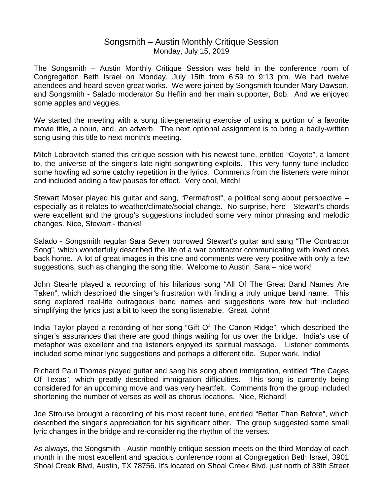## Songsmith – Austin Monthly Critique Session Monday, July 15, 2019

The Songsmith – Austin Monthly Critique Session was held in the conference room of Congregation Beth Israel on Monday, July 15th from 6:59 to 9:13 pm. We had twelve attendees and heard seven great works. We were joined by Songsmith founder Mary Dawson, and Songsmith - Salado moderator Su Heflin and her main supporter, Bob. And we enjoyed some apples and veggies.

We started the meeting with a song title-generating exercise of using a portion of a favorite movie title, a noun, and, an adverb. The next optional assignment is to bring a badly-written song using this title to next month's meeting.

Mitch Lobrovitch started this critique session with his newest tune, entitled "Coyote", a lament to, the universe of the singer's late-night songwriting exploits. This very funny tune included some howling ad some catchy repetition in the lyrics. Comments from the listeners were minor and included adding a few pauses for effect. Very cool, Mitch!

Stewart Moser played his guitar and sang, "Permafrost", a political song about perspective – especially as it relates to weather/climate/social change. No surprise, here - Stewart's chords were excellent and the group's suggestions included some very minor phrasing and melodic changes. Nice, Stewart - thanks!

Salado - Songsmith regular Sara Seven borrowed Stewart's guitar and sang "The Contractor Song", which wonderfully described the life of a war contractor communicating with loved ones back home. A lot of great images in this one and comments were very positive with only a few suggestions, such as changing the song title. Welcome to Austin, Sara – nice work!

John Stearle played a recording of his hilarious song "All Of The Great Band Names Are Taken", which described the singer's frustration with finding a truly unique band name. This song explored real-life outrageous band names and suggestions were few but included simplifying the lyrics just a bit to keep the song listenable. Great, John!

India Taylor played a recording of her song "Gift Of The Canon Ridge", which described the singer's assurances that there are good things waiting for us over the bridge. India's use of metaphor was excellent and the listeners enjoyed its spiritual message. Listener comments included some minor lyric suggestions and perhaps a different title. Super work, India!

Richard Paul Thomas played guitar and sang his song about immigration, entitled "The Cages Of Texas", which greatly described immigration difficulties. This song is currently being considered for an upcoming move and was very heartfelt. Comments from the group included shortening the number of verses as well as chorus locations. Nice, Richard!

Joe Strouse brought a recording of his most recent tune, entitled "Better Than Before", which described the singer's appreciation for his significant other. The group suggested some small lyric changes in the bridge and re-considering the rhythm of the verses.

As always, the Songsmith - Austin monthly critique session meets on the third Monday of each month in the most excellent and spacious conference room at Congregation Beth Israel, 3901 Shoal Creek Blvd, Austin, TX 78756. It's located on Shoal Creek Blvd, just north of 38th Street